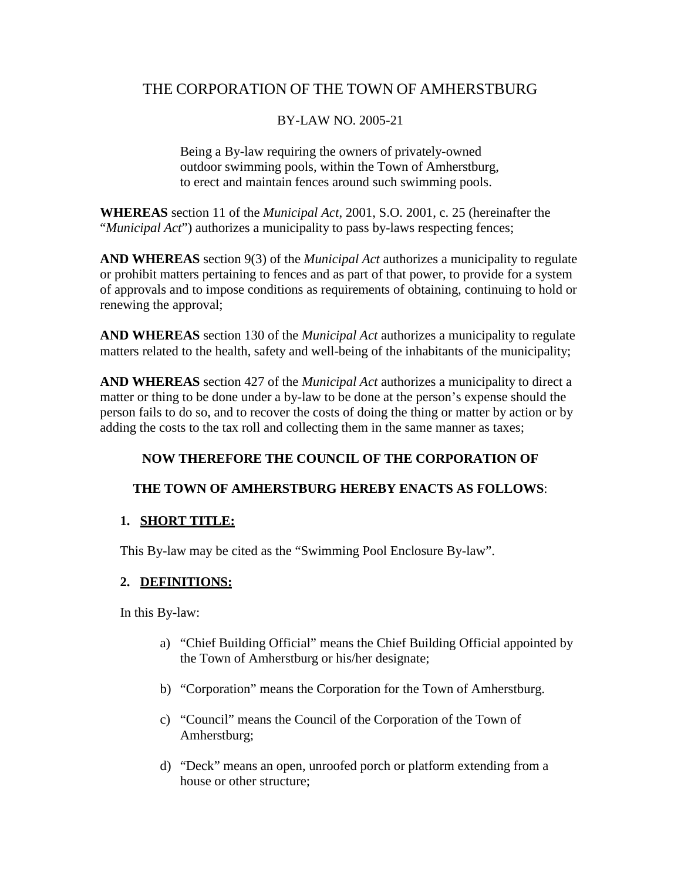# THE CORPORATION OF THE TOWN OF AMHERSTBURG

### BY-LAW NO. 2005-21

Being a By-law requiring the owners of privately-owned outdoor swimming pools, within the Town of Amherstburg, to erect and maintain fences around such swimming pools.

**WHEREAS** section 11 of the *Municipal Act*, 2001, S.O. 2001, c. 25 (hereinafter the "*Municipal Act*") authorizes a municipality to pass by-laws respecting fences;

**AND WHEREAS** section 9(3) of the *Municipal Act* authorizes a municipality to regulate or prohibit matters pertaining to fences and as part of that power, to provide for a system of approvals and to impose conditions as requirements of obtaining, continuing to hold or renewing the approval;

**AND WHEREAS** section 130 of the *Municipal Act* authorizes a municipality to regulate matters related to the health, safety and well-being of the inhabitants of the municipality;

**AND WHEREAS** section 427 of the *Municipal Act* authorizes a municipality to direct a matter or thing to be done under a by-law to be done at the person's expense should the person fails to do so, and to recover the costs of doing the thing or matter by action or by adding the costs to the tax roll and collecting them in the same manner as taxes;

# **NOW THEREFORE THE COUNCIL OF THE CORPORATION OF**

### **THE TOWN OF AMHERSTBURG HEREBY ENACTS AS FOLLOWS**:

### **1. SHORT TITLE:**

This By-law may be cited as the "Swimming Pool Enclosure By-law".

# **2. DEFINITIONS:**

In this By-law:

- a) "Chief Building Official" means the Chief Building Official appointed by the Town of Amherstburg or his/her designate;
- b) "Corporation" means the Corporation for the Town of Amherstburg.
- c) "Council" means the Council of the Corporation of the Town of Amherstburg;
- d) "Deck" means an open, unroofed porch or platform extending from a house or other structure;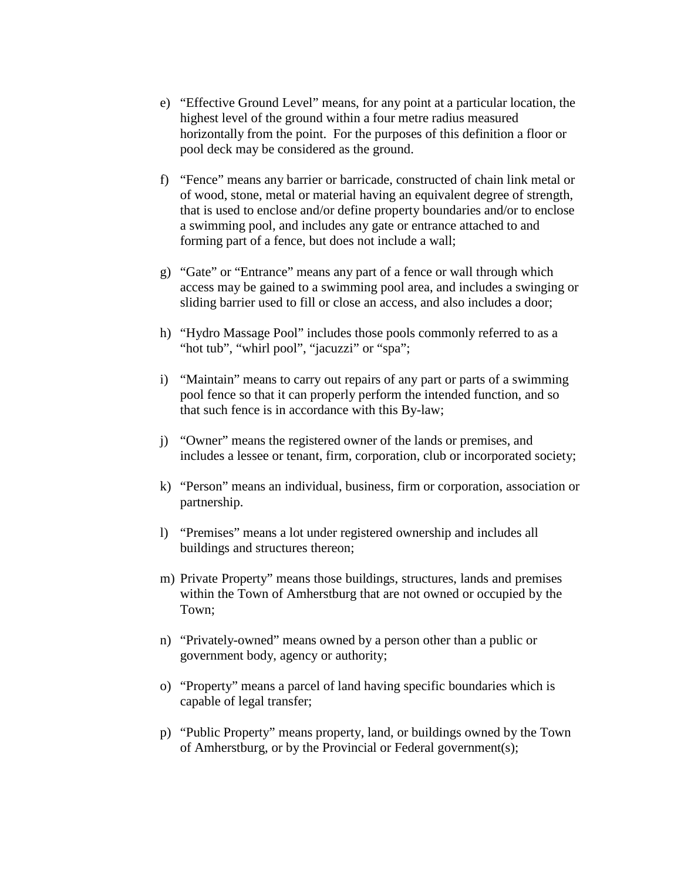- e) "Effective Ground Level" means, for any point at a particular location, the highest level of the ground within a four metre radius measured horizontally from the point. For the purposes of this definition a floor or pool deck may be considered as the ground.
- f) "Fence" means any barrier or barricade, constructed of chain link metal or of wood, stone, metal or material having an equivalent degree of strength, that is used to enclose and/or define property boundaries and/or to enclose a swimming pool, and includes any gate or entrance attached to and forming part of a fence, but does not include a wall;
- g) "Gate" or "Entrance" means any part of a fence or wall through which access may be gained to a swimming pool area, and includes a swinging or sliding barrier used to fill or close an access, and also includes a door;
- h) "Hydro Massage Pool" includes those pools commonly referred to as a "hot tub", "whirl pool", "jacuzzi" or "spa";
- i) "Maintain" means to carry out repairs of any part or parts of a swimming pool fence so that it can properly perform the intended function, and so that such fence is in accordance with this By-law;
- j) "Owner" means the registered owner of the lands or premises, and includes a lessee or tenant, firm, corporation, club or incorporated society;
- k) "Person" means an individual, business, firm or corporation, association or partnership.
- l) "Premises" means a lot under registered ownership and includes all buildings and structures thereon;
- m) Private Property" means those buildings, structures, lands and premises within the Town of Amherstburg that are not owned or occupied by the Town;
- n) "Privately-owned" means owned by a person other than a public or government body, agency or authority;
- o) "Property" means a parcel of land having specific boundaries which is capable of legal transfer;
- p) "Public Property" means property, land, or buildings owned by the Town of Amherstburg, or by the Provincial or Federal government(s);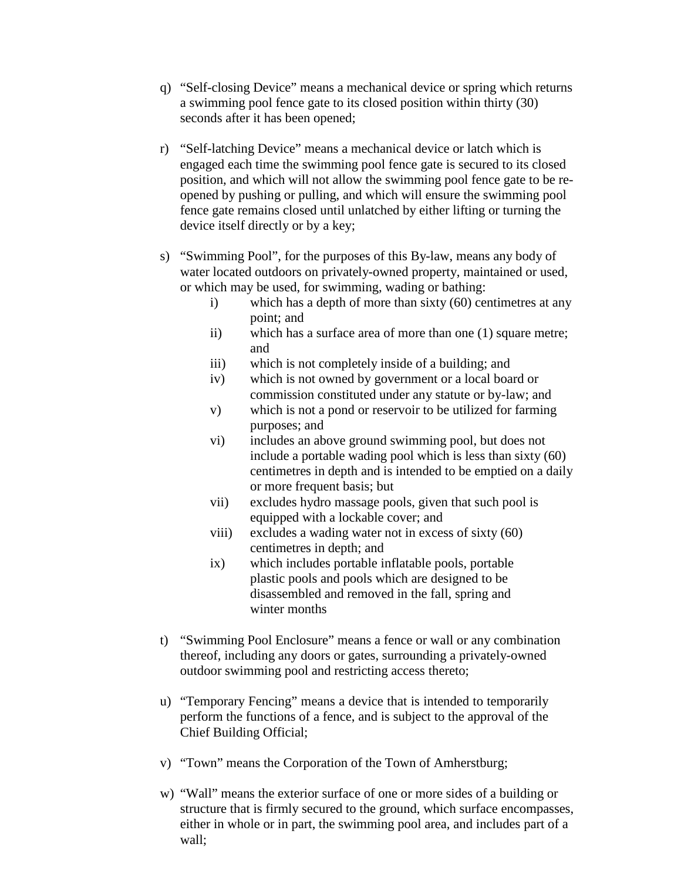- q) "Self-closing Device" means a mechanical device or spring which returns a swimming pool fence gate to its closed position within thirty (30) seconds after it has been opened;
- r) "Self-latching Device" means a mechanical device or latch which is engaged each time the swimming pool fence gate is secured to its closed position, and which will not allow the swimming pool fence gate to be reopened by pushing or pulling, and which will ensure the swimming pool fence gate remains closed until unlatched by either lifting or turning the device itself directly or by a key;
- s) "Swimming Pool", for the purposes of this By-law, means any body of water located outdoors on privately-owned property, maintained or used, or which may be used, for swimming, wading or bathing:
	- i) which has a depth of more than sixty (60) centimetres at any point; and
	- ii) which has a surface area of more than one (1) square metre; and
	- iii) which is not completely inside of a building; and
	- iv) which is not owned by government or a local board or commission constituted under any statute or by-law; and
	- v) which is not a pond or reservoir to be utilized for farming purposes; and
	- vi) includes an above ground swimming pool, but does not include a portable wading pool which is less than sixty (60) centimetres in depth and is intended to be emptied on a daily or more frequent basis; but
	- vii) excludes hydro massage pools, given that such pool is equipped with a lockable cover; and
	- viii) excludes a wading water not in excess of sixty (60) centimetres in depth; and
	- ix) which includes portable inflatable pools, portable plastic pools and pools which are designed to be disassembled and removed in the fall, spring and winter months
- t) "Swimming Pool Enclosure" means a fence or wall or any combination thereof, including any doors or gates, surrounding a privately-owned outdoor swimming pool and restricting access thereto;
- u) "Temporary Fencing" means a device that is intended to temporarily perform the functions of a fence, and is subject to the approval of the Chief Building Official;
- v) "Town" means the Corporation of the Town of Amherstburg;
- w) "Wall" means the exterior surface of one or more sides of a building or structure that is firmly secured to the ground, which surface encompasses, either in whole or in part, the swimming pool area, and includes part of a wall;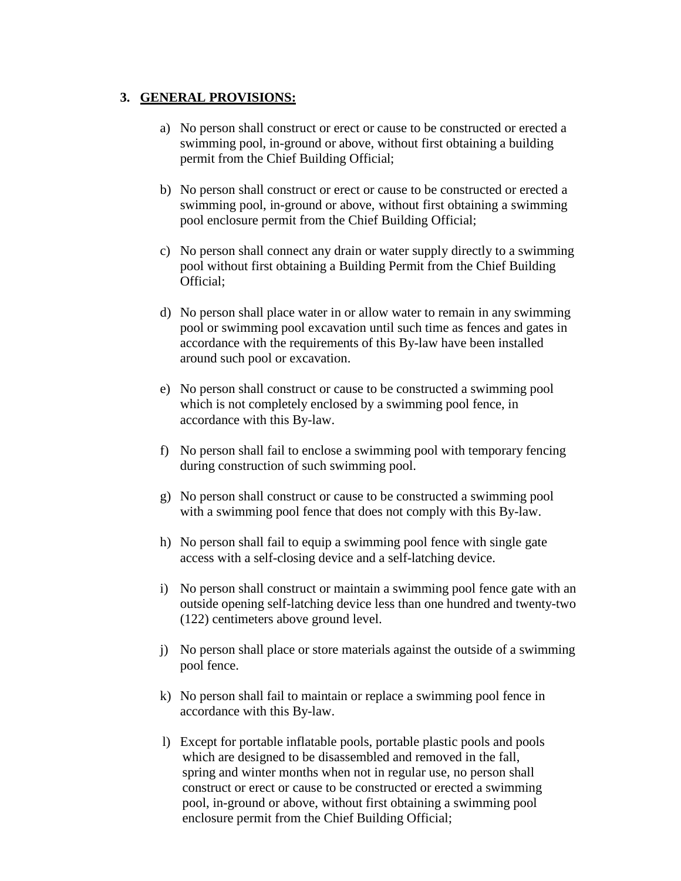#### **3. GENERAL PROVISIONS:**

- a) No person shall construct or erect or cause to be constructed or erected a swimming pool, in-ground or above, without first obtaining a building permit from the Chief Building Official;
- b) No person shall construct or erect or cause to be constructed or erected a swimming pool, in-ground or above, without first obtaining a swimming pool enclosure permit from the Chief Building Official;
- c) No person shall connect any drain or water supply directly to a swimming pool without first obtaining a Building Permit from the Chief Building Official;
- d) No person shall place water in or allow water to remain in any swimming pool or swimming pool excavation until such time as fences and gates in accordance with the requirements of this By-law have been installed around such pool or excavation.
- e) No person shall construct or cause to be constructed a swimming pool which is not completely enclosed by a swimming pool fence, in accordance with this By-law.
- f) No person shall fail to enclose a swimming pool with temporary fencing during construction of such swimming pool.
- g) No person shall construct or cause to be constructed a swimming pool with a swimming pool fence that does not comply with this By-law.
- h) No person shall fail to equip a swimming pool fence with single gate access with a self-closing device and a self-latching device.
- i) No person shall construct or maintain a swimming pool fence gate with an outside opening self-latching device less than one hundred and twenty-two (122) centimeters above ground level.
- j) No person shall place or store materials against the outside of a swimming pool fence.
- k) No person shall fail to maintain or replace a swimming pool fence in accordance with this By-law.
- l) Except for portable inflatable pools, portable plastic pools and pools which are designed to be disassembled and removed in the fall, spring and winter months when not in regular use, no person shall construct or erect or cause to be constructed or erected a swimming pool, in-ground or above, without first obtaining a swimming pool enclosure permit from the Chief Building Official;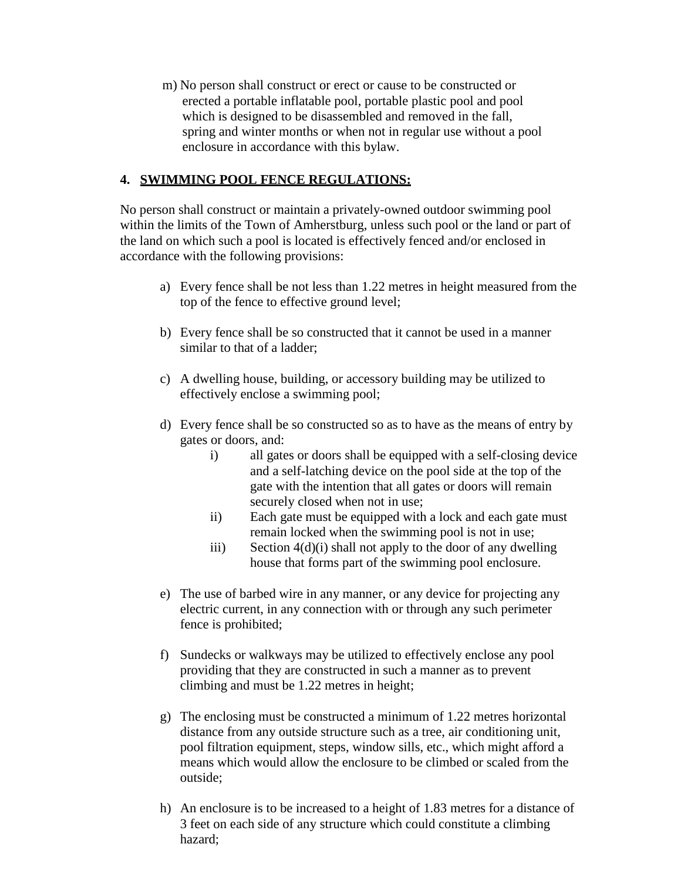m) No person shall construct or erect or cause to be constructed or erected a portable inflatable pool, portable plastic pool and pool which is designed to be disassembled and removed in the fall, spring and winter months or when not in regular use without a pool enclosure in accordance with this bylaw.

### **4. SWIMMING POOL FENCE REGULATIONS:**

No person shall construct or maintain a privately-owned outdoor swimming pool within the limits of the Town of Amherstburg, unless such pool or the land or part of the land on which such a pool is located is effectively fenced and/or enclosed in accordance with the following provisions:

- a) Every fence shall be not less than 1.22 metres in height measured from the top of the fence to effective ground level;
- b) Every fence shall be so constructed that it cannot be used in a manner similar to that of a ladder;
- c) A dwelling house, building, or accessory building may be utilized to effectively enclose a swimming pool;
- d) Every fence shall be so constructed so as to have as the means of entry by gates or doors, and:
	- i) all gates or doors shall be equipped with a self-closing device and a self-latching device on the pool side at the top of the gate with the intention that all gates or doors will remain securely closed when not in use;
	- ii) Each gate must be equipped with a lock and each gate must remain locked when the swimming pool is not in use;
	- iii) Section  $4(d)(i)$  shall not apply to the door of any dwelling house that forms part of the swimming pool enclosure.
- e) The use of barbed wire in any manner, or any device for projecting any electric current, in any connection with or through any such perimeter fence is prohibited;
- f) Sundecks or walkways may be utilized to effectively enclose any pool providing that they are constructed in such a manner as to prevent climbing and must be 1.22 metres in height;
- g) The enclosing must be constructed a minimum of 1.22 metres horizontal distance from any outside structure such as a tree, air conditioning unit, pool filtration equipment, steps, window sills, etc., which might afford a means which would allow the enclosure to be climbed or scaled from the outside;
- h) An enclosure is to be increased to a height of 1.83 metres for a distance of 3 feet on each side of any structure which could constitute a climbing hazard;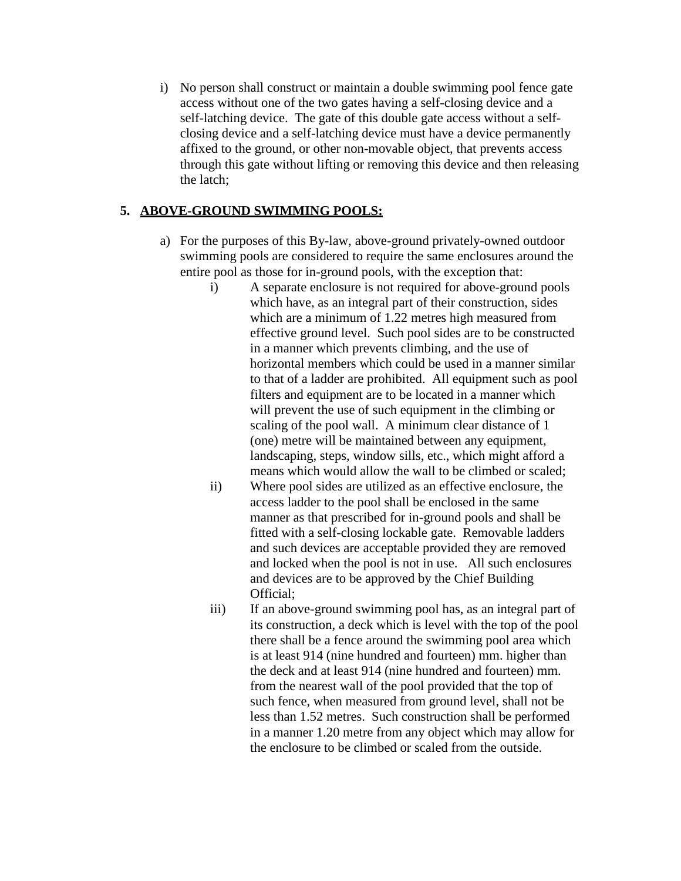i) No person shall construct or maintain a double swimming pool fence gate access without one of the two gates having a self-closing device and a self-latching device. The gate of this double gate access without a selfclosing device and a self-latching device must have a device permanently affixed to the ground, or other non-movable object, that prevents access through this gate without lifting or removing this device and then releasing the latch;

### **5. ABOVE-GROUND SWIMMING POOLS:**

- a) For the purposes of this By-law, above-ground privately-owned outdoor swimming pools are considered to require the same enclosures around the entire pool as those for in-ground pools, with the exception that:
	- i) A separate enclosure is not required for above-ground pools which have, as an integral part of their construction, sides which are a minimum of 1.22 metres high measured from effective ground level. Such pool sides are to be constructed in a manner which prevents climbing, and the use of horizontal members which could be used in a manner similar to that of a ladder are prohibited. All equipment such as pool filters and equipment are to be located in a manner which will prevent the use of such equipment in the climbing or scaling of the pool wall. A minimum clear distance of 1 (one) metre will be maintained between any equipment, landscaping, steps, window sills, etc., which might afford a means which would allow the wall to be climbed or scaled;
	- ii) Where pool sides are utilized as an effective enclosure, the access ladder to the pool shall be enclosed in the same manner as that prescribed for in-ground pools and shall be fitted with a self-closing lockable gate. Removable ladders and such devices are acceptable provided they are removed and locked when the pool is not in use. All such enclosures and devices are to be approved by the Chief Building Official;
	- iii) If an above-ground swimming pool has, as an integral part of its construction, a deck which is level with the top of the pool there shall be a fence around the swimming pool area which is at least 914 (nine hundred and fourteen) mm. higher than the deck and at least 914 (nine hundred and fourteen) mm. from the nearest wall of the pool provided that the top of such fence, when measured from ground level, shall not be less than 1.52 metres. Such construction shall be performed in a manner 1.20 metre from any object which may allow for the enclosure to be climbed or scaled from the outside.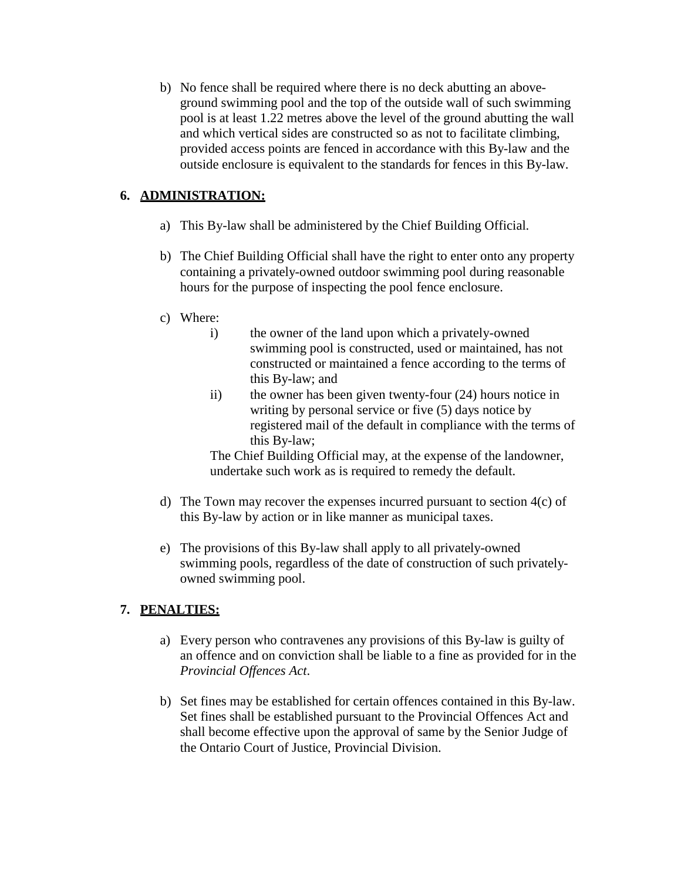b) No fence shall be required where there is no deck abutting an aboveground swimming pool and the top of the outside wall of such swimming pool is at least 1.22 metres above the level of the ground abutting the wall and which vertical sides are constructed so as not to facilitate climbing, provided access points are fenced in accordance with this By-law and the outside enclosure is equivalent to the standards for fences in this By-law.

# **6. ADMINISTRATION:**

- a) This By-law shall be administered by the Chief Building Official.
- b) The Chief Building Official shall have the right to enter onto any property containing a privately-owned outdoor swimming pool during reasonable hours for the purpose of inspecting the pool fence enclosure.
- c) Where:
	- i) the owner of the land upon which a privately-owned swimming pool is constructed, used or maintained, has not constructed or maintained a fence according to the terms of this By-law; and
	- ii) the owner has been given twenty-four (24) hours notice in writing by personal service or five (5) days notice by registered mail of the default in compliance with the terms of this By-law;

The Chief Building Official may, at the expense of the landowner, undertake such work as is required to remedy the default.

- d) The Town may recover the expenses incurred pursuant to section 4(c) of this By-law by action or in like manner as municipal taxes.
- e) The provisions of this By-law shall apply to all privately-owned swimming pools, regardless of the date of construction of such privatelyowned swimming pool.

# **7. PENALTIES:**

- a) Every person who contravenes any provisions of this By-law is guilty of an offence and on conviction shall be liable to a fine as provided for in the *Provincial Offences Act*.
- b) Set fines may be established for certain offences contained in this By-law. Set fines shall be established pursuant to the Provincial Offences Act and shall become effective upon the approval of same by the Senior Judge of the Ontario Court of Justice, Provincial Division.